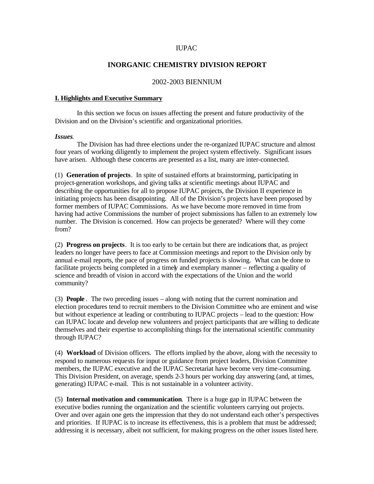## IUPAC

## **INORGANIC CHEMISTRY DIVISION REPORT**

## 2002-2003 BIENNIUM

#### **I. Highlights and Executive Summary**

In this section we focus on issues affecting the present and future productivity of the Division and on the Division's scientific and organizational priorities.

#### *Issues*.

The Division has had three elections under the re-organized IUPAC structure and almost four years of working diligently to implement the project system effectively. Significant issues have arisen. Although these concerns are presented as a list, many are inter-connected.

(1) **Generation of projects**. In spite of sustained efforts at brainstorming, participating in project-generation workshops, and giving talks at scientific meetings about IUPAC and describing the opportunities for all to propose IUPAC projects, the Division II experience in initiating projects has been disappointing. All of the Division's projects have been proposed by former members of IUPAC Commissions. As we have become more removed in time from having had active Commissions the number of project submissions has fallen to an extremely low number. The Division is concerned. How can projects be generated? Where will they come from?

(2) **Progress on projects**. It is too early to be certain but there are indications that, as project leaders no longer have peers to face at Commission meetings and report to the Division only by annual e-mail reports, the pace of progress on funded projects is slowing. What can be done to facilitate projects being completed in a timely and exemplary manner – reflecting a quality of science and breadth of vision in accord with the expectations of the Union and the world community?

(3) **People** . The two preceding issues – along with noting that the current nomination and election procedures tend to recruit members to the Division Committee who are eminent and wise but without experience at leading or contributing to IUPAC projects – lead to the question: How can IUPAC locate and develop new volunteers and project participants that are willing to dedicate themselves and their expertise to accomplishing things for the international scientific community through IUPAC?

(4) **Workload** of Division officers. The efforts implied by the above, along with the necessity to respond to numerous requests for input or guidance from project leaders, Division Committee members, the IUPAC executive and the IUPAC Secretariat have become very time-consuming. This Division President, on average, spends 2-3 hours per working day answering (and, at times, generating) IUPAC e-mail. This is not sustainable in a volunteer activity.

(5) **Internal motivation and communication**. There is a huge gap in IUPAC between the executive bodies running the organization and the scientific volunteers carrying out projects. Over and over again one gets the impression that they do not understand each other's perspectives and priorities. If IUPAC is to increase its effectiveness, this is a problem that must be addressed; addressing it is necessary, albeit not sufficient, for making progress on the other issues listed here.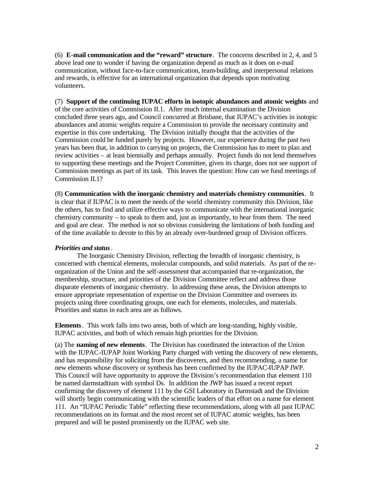(6) **E-mail communication and the "reward" structure**. The concerns described in 2, 4, and 5 above lead one to wonder if having the organization depend as much as it does on e-mail communication, without face-to-face communication, team-building, and interpersonal relations and rewards, is effective for an international organization that depends upon motivating volunteers.

(7) **Support of the continuing IUPAC efforts in isotopic abundances and atomic weights** and of the core activities of Commission II.1. After much internal examination the Division concluded three years ago, and Council concurred at Brisbane, that IUPAC's activities in isotopic abundances and atomic weights require a Commission to provide the necessary continuity and expertise in this core undertaking. The Division initially thought that the activities of the Commission could be funded purely by projects. However, our experience during the past two years has been that, in addition to carrying on projects, the Commission has to meet to plan and review activities – at least biennially and perhaps annually. Project funds do not lend themselves to supporting these meetings and the Project Committee, given its charge, does not see support of Commission meetings as part of its task. This leaves the question: How can we fund meetings of Commission II.1?

(8) **Communication with the inorganic chemistry and materials chemistry communities**. It is clear that if IUPAC is to meet the needs of the world chemistry community this Division, like the others, has to find and utilize effective ways to communicate with the international inorganic chemistry community – to speak to them and, just as importantly, to hear from them. The need and goal are clear. The method is not so obvious considering the limitations of both funding and of the time available to devote to this by an already over-burdened group of Division officers.

## *Priorities and status*.

The Inorganic Chemistry Division, reflecting the breadth of inorganic chemistry, is concerned with chemical elements, molecular compounds, and solid materials. As part of the reorganization of the Union and the self-assessment that accompanied that re-organization, the membership, structure, and priorities of the Division Committee reflect and address those disparate elements of inorganic chemistry. In addressing these areas, the Division attempts to ensure appropriate representation of expertise on the Division Committee and oversees its projects using three coordinating groups, one each for elements, molecules, and materials. Priorities and status in each area are as follows.

**Elements**. This work falls into two areas, both of which are long-standing, highly visible, IUPAC activities, and both of which remain high priorities for the Division.

(a) The **naming of new elements**. The Division has coordinated the interaction of the Union with the IUPAC-IUPAP Joint Working Party charged with vetting the discovery of new elements, and has responsibility for soliciting from the discoverers, and then recommending, a name for new elements whose discovery or synthesis has been confirmed by the IUPAC-IUPAP JWP. This Council will have opportunity to approve the Division's recommendation that element 110 be named darmstadtium with symbol Ds. In addition the JWP has issued a recent report confirming the discovery of element 111 by the GSI Laboratory in Darmstadt and the Division will shortly begin communicating with the scientific leaders of that effort on a name for element 111. An "IUPAC Periodic Table" reflecting these recommendations, along with all past IUPAC recommendations on its format and the most recent set of IUPAC atomic weights, has been prepared and will be posted prominently on the IUPAC web site.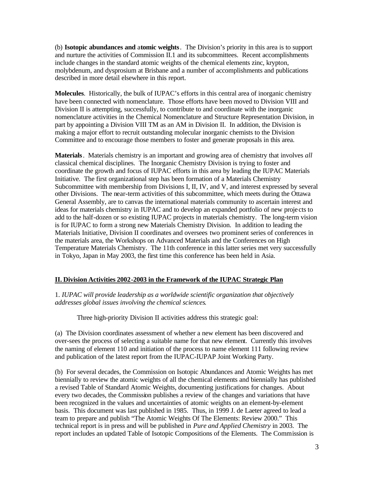(b) **Isotopic abundances and** a**tomic weights**. The Division's priority in this area is to support and nurture the activities of Commission II.1 and its subcommittees. Recent accomplishments include changes in the standard atomic weights of the chemical elements zinc, krypton, molybdenum, and dysprosium at Brisbane and a number of accomplishments and publications described in more detail elsewhere in this report.

**Molecules**. Historically, the bulk of IUPAC's efforts in this central area of inorganic chemistry have been connected with nomenclature. Those efforts have been moved to Division VIII and Division II is attempting, successfully, to contribute to and coordinate with the inorganic nomenclature activities in the Chemical Nomenclature and Structure Representation Division, in part by appointing a Division VIII TM as an AM in Division II. In addition, the Division is making a major effort to recruit outstanding molecular inorganic chemists to the Division Committee and to encourage those members to foster and generate proposals in this area.

**Materials**. Materials chemistry is an important and growing area of chemistry that involves *all* classical chemical disciplines. The Inorganic Chemistry Division is trying to foster and coordinate the growth and focus of IUPAC efforts in this area by leading the IUPAC Materials Initiative. The first organizational step has been formation of a Materials Chemistry Subcommittee with membership from Divisions I, II, IV, and V, and interest expressed by several other Divisions. The near-term activities of this subcommittee, which meets during the Ottawa General Assembly, are to canvas the international materials community to ascertain interest and ideas for materials chemistry in IUPAC and to develop an expanded portfolio of new proje cts to add to the half-dozen or so existing IUPAC projects in materials chemistry. The long-term vision is for IUPAC to form a strong new Materials Chemistry Division. In addition to leading the Materials Initiative, Division II coordinates and oversees two prominent series of conferences in the materials area, the Workshops on Advanced Materials and the Conferences on High Temperature Materials Chemistry. The 11th conference in this latter series met very successfully in Tokyo, Japan in May 2003, the first time this conference has been held in Asia.

# **II. Division Activities 2002-2003 in the Framework of the IUPAC Strategic Plan**

1. *IUPAC will provide leadership as a worldwide scientific organization that objectively addresses global issues involving the chemical sciences*.

Three high-priority Division II activities address this strategic goal:

(a) The Division coordinates assessment of whether a new element has been discovered and over-sees the process of selecting a suitable name for that new element. Currently this involves the naming of element 110 and initiation of the process to name element 111 following review and publication of the latest report from the IUPAC-IUPAP Joint Working Party.

(b) For several decades, the Commission on Isotopic Abundances and Atomic Weights has met biennially to review the atomic weights of all the chemical elements and biennially has published a revised Table of Standard Atomic Weights, documenting justifications for changes. About every two decades, the Commission publishes a review of the changes and variations that have been recognized in the values and uncertainties of atomic weights on an element-by-element basis. This document was last published in 1985. Thus, in 1999 J. de Laeter agreed to lead a team to prepare and publish "The Atomic Weights Of The Elements: Review 2000." This technical report is in press and will be published in *Pure and Applied Chemistry* in 2003. The report includes an updated Table of Isotopic Compositions of the Elements. The Commission is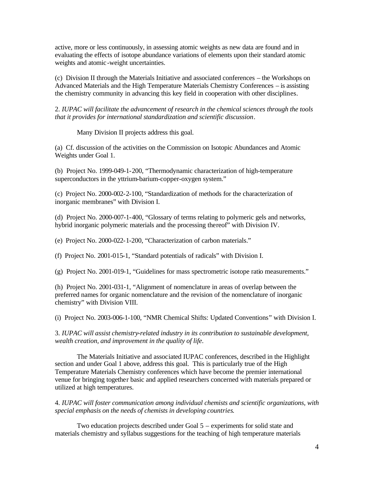active, more or less continuously, in assessing atomic weights as new data are found and in evaluating the effects of isotope abundance variations of elements upon their standard atomic weights and atomic -weight uncertainties.

(c) Division II through the Materials Initiative and associated conferences – the Workshops on Advanced Materials and the High Temperature Materials Chemistry Conferences – is assisting the chemistry community in advancing this key field in cooperation with other disciplines.

2. *IUPAC will facilitate the advancement of research in the chemical sciences through the tools that it provides for international standardization and scientific discussion*.

Many Division II projects address this goal.

(a) Cf. discussion of the activities on the Commission on Isotopic Abundances and Atomic Weights under Goal 1.

(b) Project No. 1999-049-1-200, "Thermodynamic characterization of high-temperature superconductors in the yttrium-barium-copper-oxygen system."

(c) Project No. 2000-002-2-100, "Standardization of methods for the characterization of inorganic membranes" with Division I.

(d) Project No. 2000-007-1-400, "Glossary of terms relating to polymeric gels and networks, hybrid inorganic polymeric materials and the processing thereof" with Division IV.

(e) Project No. 2000-022-1-200, "Characterization of carbon materials."

(f) Project No. 2001-015-1, "Standard potentials of radicals" with Division I.

(g) Project No. 2001-019-1, "Guidelines for mass spectrometric isotope ratio measurements."

(h) Project No. 2001-031-1, "Alignment of nomenclature in areas of overlap between the preferred names for organic nomenclature and the revision of the nomenclature of inorganic chemistry" with Division VIII.

(i) Project No. 2003-006-1-100, "NMR Chemical Shifts: Updated Conventions" with Division I.

3. *IUPAC will assist chemistry-related industry in its contribution to sustainable development, wealth creation, and improvement in the quality of life*.

The Materials Initiative and associated IUPAC conferences, described in the Highlight section and under Goal 1 above, address this goal. This is particularly true of the High Temperature Materials Chemistry conferences which have become the premier international venue for bringing together basic and applied researchers concerned with materials prepared or utilized at high temperatures.

4. *IUPAC will foster communication among individual chemists and scientific organizations, with special emphasis on the needs of chemists in developing countries*.

Two education projects described under Goal 5 – experiments for solid state and materials chemistry and syllabus suggestions for the teaching of high temperature materials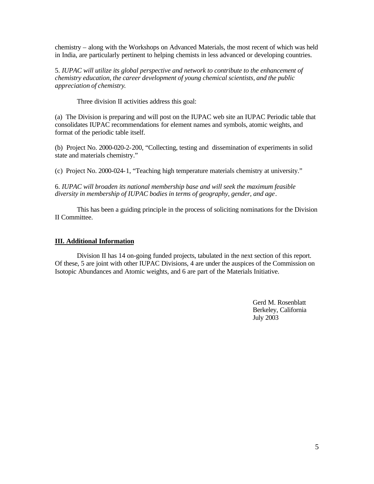chemistry – along with the Workshops on Advanced Materials, the most recent of which was held in India, are particularly pertinent to helping chemists in less advanced or developing countries.

5. *IUPAC will utilize its global perspective and network to contribute to the enhancement of chemistry education, the career development of young chemical scientists, and the public appreciation of chemistry*.

Three division II activities address this goal:

(a) The Division is preparing and will post on the IUPAC web site an IUPAC Periodic table that consolidates IUPAC recommendations for element names and symbols, atomic weights, and format of the periodic table itself.

(b) Project No. 2000-020-2-200, "Collecting, testing and dissemination of experiments in solid state and materials chemistry."

(c) Project No. 2000-024-1, "Teaching high temperature materials chemistry at university."

6. *IUPAC will broaden its national membership base and will seek the maximum feasible diversity in membership of IUPAC bodies in terms of geography, gender, and age*.

This has been a guiding principle in the process of soliciting nominations for the Division II Committee.

## **III. Additional Information**

Division II has 14 on-going funded projects, tabulated in the next section of this report. Of these, 5 are joint with other IUPAC Divisions, 4 are under the auspices of the Commission on Isotopic Abundances and Atomic weights, and 6 are part of the Materials Initiative.

> Gerd M. Rosenblatt Berkeley, California July 2003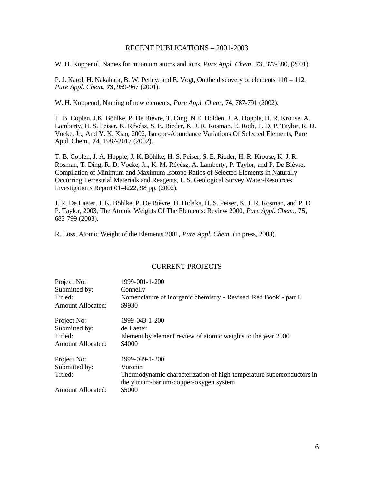## RECENT PUBLICATIONS – 2001-2003

W. H. Koppenol, Names for muonium atoms and ions, *Pure Appl. Chem*., **73**, 377-380, (2001)

P. J. Karol, H. Nakahara, B. W. Petley, and E. Vogt, On the discovery of elements 110 – 112, *Pure Appl. Chem*., **73**, 959-967 (2001).

W. H. Koppenol, Naming of new elements, *Pure Appl. Chem*., **74**, 787-791 (2002).

T. B. Coplen, J.K. Böhlke, P. De Bièvre, T. Ding, N.E. Holden, J. A. Hopple, H. R. Krouse, A. Lamberty, H. S. Peiser, K. Révész, S. E. Rieder, K. J. R. Rosman, E. Roth, P. D. P. Taylor, R. D. Vocke, Jr., And Y. K. Xiao, 2002, Isotope-Abundance Variations Of Selected Elements, Pure Appl. Chem., **74**, 1987-2017 (2002).

T. B. Coplen, J. A. Hopple, J. K. Böhlke, H. S. Peiser, S. E. Rieder, H. R. Krouse, K. J. R. Rosman, T. Ding, R. D. Vocke, Jr., K. M. Révész, A. Lamberty, P. Taylor, and P. De Bièvre, Compilation of Minimum and Maximum Isotope Ratios of Selected Elements in Naturally Occurring Terrestrial Materials and Reagents, U.S. Geological Survey Water-Resources Investigations Report 01-4222, 98 pp. (2002).

J. R. De Laeter, J. K. Böhlke, P. De Bièvre, H. Hidaka, H. S. Peiser, K. J. R. Rosman, and P. D. P. Taylor, 2003, The Atomic Weights Of The Elements: Review 2000, *Pure Appl. Chem.*, **75**, 683-799 (2003).

R. Loss, Atomic Weight of the Elements 2001, *Pure Appl. Chem.* (in press, 2003).

## CURRENT PROJECTS

| Project No:              | 1999-001-1-200                                                        |
|--------------------------|-----------------------------------------------------------------------|
| Submitted by:            | Connelly                                                              |
| Titled:                  | Nomenclature of inorganic chemistry - Revised 'Red Book' - part I.    |
| Amount Allocated:        | \$9930                                                                |
| Project No:              | 1999-043-1-200                                                        |
| Submitted by:            | de Laeter                                                             |
| Titled:                  | Element by element review of atomic weights to the year 2000          |
| <b>Amount Allocated:</b> | \$4000                                                                |
| Project No:              | 1999-049-1-200                                                        |
| Submitted by:            | Voronin                                                               |
| Titled:                  | Thermodynamic characterization of high-temperature superconductors in |
|                          | the yttrium-barium-copper-oxygen system                               |
| <b>Amount Allocated:</b> | \$5000                                                                |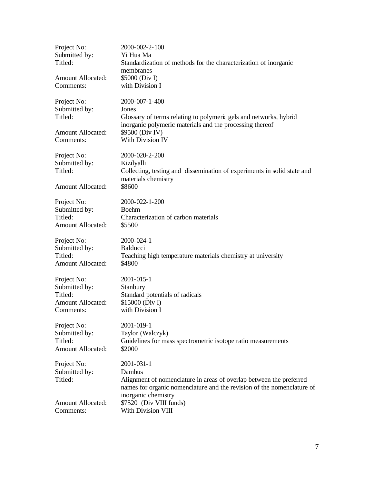| Project No:<br>Submitted by:<br>Titled:<br><b>Amount Allocated:</b><br>Comments: | 2000-002-2-100<br>Yi Hua Ma<br>Standardization of methods for the characterization of inorganic<br>membranes<br>\$5000 (Div I)<br>with Division I                                            |
|----------------------------------------------------------------------------------|----------------------------------------------------------------------------------------------------------------------------------------------------------------------------------------------|
| Project No:<br>Submitted by:<br>Titled:                                          | $2000 - 007 - 1 - 400$<br>Jones<br>Glossary of terms relating to polymeric gels and networks, hybrid<br>inorganic polymeric materials and the processing thereof                             |
| <b>Amount Allocated:</b>                                                         | \$9500 (Div IV)                                                                                                                                                                              |
| Comments:                                                                        | With Division IV                                                                                                                                                                             |
| Project No:<br>Submitted by:<br>Titled:<br><b>Amount Allocated:</b>              | 2000-020-2-200<br>Kizilyalli<br>Collecting, testing and dissemination of experiments in solid state and<br>materials chemistry<br>\$8600                                                     |
| Project No:                                                                      | 2000-022-1-200                                                                                                                                                                               |
| Submitted by:                                                                    | <b>Boehm</b>                                                                                                                                                                                 |
| Titled:                                                                          | Characterization of carbon materials                                                                                                                                                         |
| <b>Amount Allocated:</b>                                                         | \$5500                                                                                                                                                                                       |
| Project No:                                                                      | 2000-024-1                                                                                                                                                                                   |
| Submitted by:                                                                    | Balducci                                                                                                                                                                                     |
| Titled:                                                                          | Teaching high temperature materials chemistry at university                                                                                                                                  |
| <b>Amount Allocated:</b>                                                         | \$4800                                                                                                                                                                                       |
| Project No:                                                                      | 2001-015-1                                                                                                                                                                                   |
| Submitted by:                                                                    | Stanbury                                                                                                                                                                                     |
| Titled:                                                                          | Standard potentials of radicals                                                                                                                                                              |
| <b>Amount Allocated:</b>                                                         | \$15000 (Div I)                                                                                                                                                                              |
| Comments:                                                                        | with Division I                                                                                                                                                                              |
| Project No:                                                                      | 2001-019-1                                                                                                                                                                                   |
| Submitted by:                                                                    | Taylor (Walczyk)                                                                                                                                                                             |
| Titled:                                                                          | Guidelines for mass spectrometric isotope ratio measurements                                                                                                                                 |
| <b>Amount Allocated:</b>                                                         | \$2000                                                                                                                                                                                       |
| Project No:<br>Submitted by:<br>Titled:                                          | 2001-031-1<br>Damhus<br>Alignment of nomenclature in areas of overlap between the preferred<br>names for organic nomenclature and the revision of the nomenclature of<br>inorganic chemistry |
| <b>Amount Allocated:</b>                                                         | \$7520 (Div VIII funds)                                                                                                                                                                      |
| Comments:                                                                        | With Division VIII                                                                                                                                                                           |